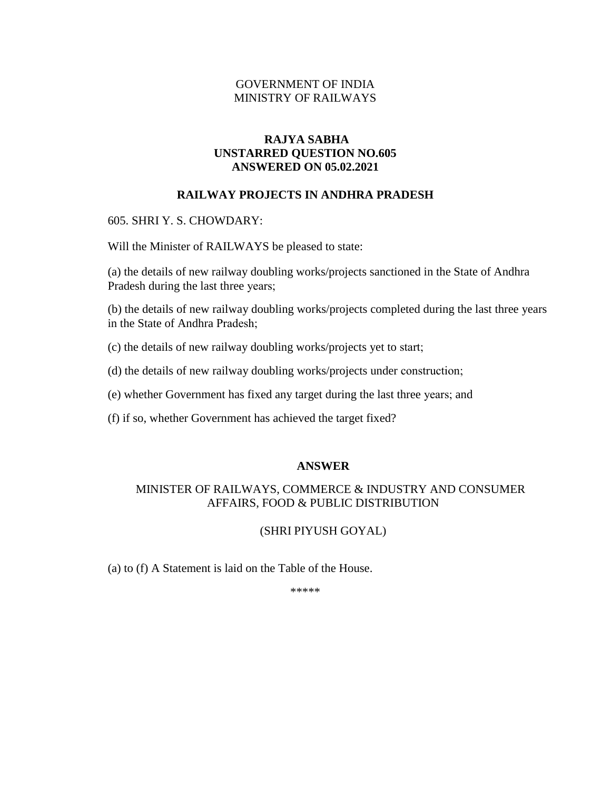## GOVERNMENT OF INDIA MINISTRY OF RAILWAYS

## **RAJYA SABHA UNSTARRED QUESTION NO.605 ANSWERED ON 05.02.2021**

### **RAILWAY PROJECTS IN ANDHRA PRADESH**

605. SHRI Y. S. CHOWDARY:

Will the Minister of RAILWAYS be pleased to state:

(a) the details of new railway doubling works/projects sanctioned in the State of Andhra Pradesh during the last three years;

(b) the details of new railway doubling works/projects completed during the last three years in the State of Andhra Pradesh;

(c) the details of new railway doubling works/projects yet to start;

(d) the details of new railway doubling works/projects under construction;

(e) whether Government has fixed any target during the last three years; and

(f) if so, whether Government has achieved the target fixed?

#### **ANSWER**

# MINISTER OF RAILWAYS, COMMERCE & INDUSTRY AND CONSUMER AFFAIRS, FOOD & PUBLIC DISTRIBUTION

### (SHRI PIYUSH GOYAL)

(a) to (f) A Statement is laid on the Table of the House.

\*\*\*\*\*